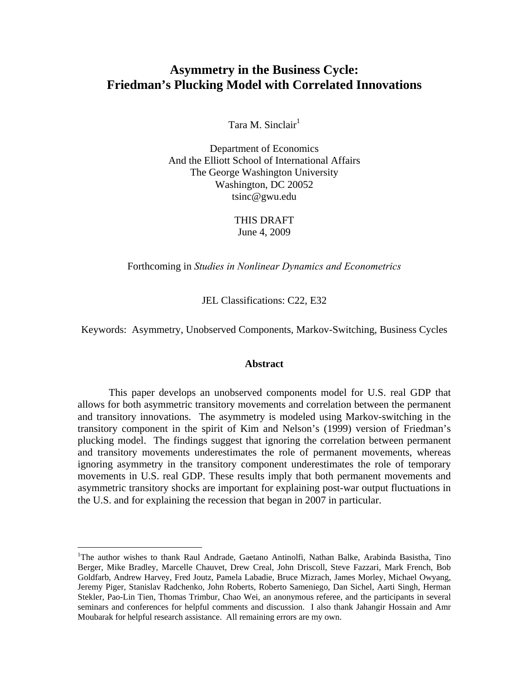# **Asymmetry in the Business Cycle: Friedman's Plucking Model with Correlated Innovations**

Tara M. Sinclair $<sup>1</sup>$ </sup>

Department of Economics And the Elliott School of International Affairs The George Washington University Washington, DC 20052 tsinc@gwu.edu

> THIS DRAFT June 4, 2009

Forthcoming in *Studies in Nonlinear Dynamics and Econometrics*

JEL Classifications: C22, E32

Keywords: Asymmetry, Unobserved Components, Markov-Switching, Business Cycles

#### **Abstract**

This paper develops an unobserved components model for U.S. real GDP that allows for both asymmetric transitory movements and correlation between the permanent and transitory innovations. The asymmetry is modeled using Markov-switching in the transitory component in the spirit of Kim and Nelson's (1999) version of Friedman's plucking model. The findings suggest that ignoring the correlation between permanent and transitory movements underestimates the role of permanent movements, whereas ignoring asymmetry in the transitory component underestimates the role of temporary movements in U.S. real GDP. These results imply that both permanent movements and asymmetric transitory shocks are important for explaining post-war output fluctuations in the U.S. and for explaining the recession that began in 2007 in particular.

<u>.</u>

<sup>&</sup>lt;sup>1</sup>The author wishes to thank Raul Andrade, Gaetano Antinolfi, Nathan Balke, Arabinda Basistha, Tino Berger, Mike Bradley, Marcelle Chauvet, Drew Creal, John Driscoll, Steve Fazzari, Mark French, Bob Goldfarb, Andrew Harvey, Fred Joutz, Pamela Labadie, Bruce Mizrach, James Morley, Michael Owyang, Jeremy Piger, Stanislav Radchenko, John Roberts, Roberto Sameniego, Dan Sichel, Aarti Singh, Herman Stekler, Pao-Lin Tien, Thomas Trimbur, Chao Wei, an anonymous referee, and the participants in several seminars and conferences for helpful comments and discussion. I also thank Jahangir Hossain and Amr Moubarak for helpful research assistance. All remaining errors are my own.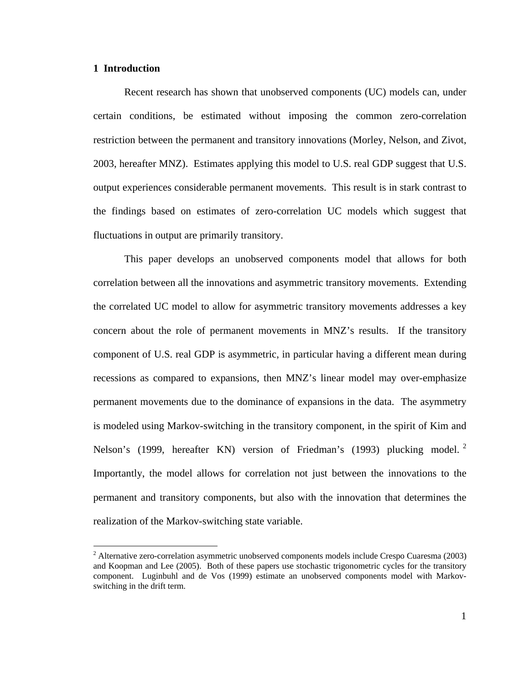# **1 Introduction**

<u>.</u>

Recent research has shown that unobserved components (UC) models can, under certain conditions, be estimated without imposing the common zero-correlation restriction between the permanent and transitory innovations (Morley, Nelson, and Zivot, 2003, hereafter MNZ). Estimates applying this model to U.S. real GDP suggest that U.S. output experiences considerable permanent movements. This result is in stark contrast to the findings based on estimates of zero-correlation UC models which suggest that fluctuations in output are primarily transitory.

This paper develops an unobserved components model that allows for both correlation between all the innovations and asymmetric transitory movements. Extending the correlated UC model to allow for asymmetric transitory movements addresses a key concern about the role of permanent movements in MNZ's results. If the transitory component of U.S. real GDP is asymmetric, in particular having a different mean during recessions as compared to expansions, then MNZ's linear model may over-emphasize permanent movements due to the dominance of expansions in the data. The asymmetry is modeled using Markov-switching in the transitory component, in the spirit of Kim and Nelson's (1999, hereafter KN) version of Friedman's (1993) plucking model.<sup>2</sup> Importantly, the model allows for correlation not just between the innovations to the permanent and transitory components, but also with the innovation that determines the realization of the Markov-switching state variable.

<sup>&</sup>lt;sup>2</sup> Alternative zero-correlation asymmetric unobserved components models include Crespo Cuaresma (2003) and Koopman and Lee (2005). Both of these papers use stochastic trigonometric cycles for the transitory component. Luginbuhl and de Vos (1999) estimate an unobserved components model with Markovswitching in the drift term.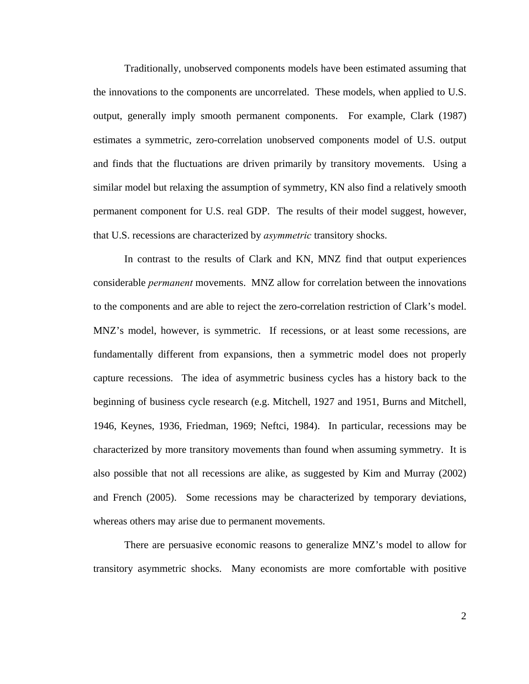Traditionally, unobserved components models have been estimated assuming that the innovations to the components are uncorrelated. These models, when applied to U.S. output, generally imply smooth permanent components. For example, Clark (1987) estimates a symmetric, zero-correlation unobserved components model of U.S. output and finds that the fluctuations are driven primarily by transitory movements. Using a similar model but relaxing the assumption of symmetry, KN also find a relatively smooth permanent component for U.S. real GDP. The results of their model suggest, however, that U.S. recessions are characterized by *asymmetric* transitory shocks.

In contrast to the results of Clark and KN, MNZ find that output experiences considerable *permanent* movements. MNZ allow for correlation between the innovations to the components and are able to reject the zero-correlation restriction of Clark's model. MNZ's model, however, is symmetric. If recessions, or at least some recessions, are fundamentally different from expansions, then a symmetric model does not properly capture recessions. The idea of asymmetric business cycles has a history back to the beginning of business cycle research (e.g. Mitchell, 1927 and 1951, Burns and Mitchell, 1946, Keynes, 1936, Friedman, 1969; Neftci, 1984). In particular, recessions may be characterized by more transitory movements than found when assuming symmetry. It is also possible that not all recessions are alike, as suggested by Kim and Murray (2002) and French (2005). Some recessions may be characterized by temporary deviations, whereas others may arise due to permanent movements.

There are persuasive economic reasons to generalize MNZ's model to allow for transitory asymmetric shocks. Many economists are more comfortable with positive

 $\mathcal{L}$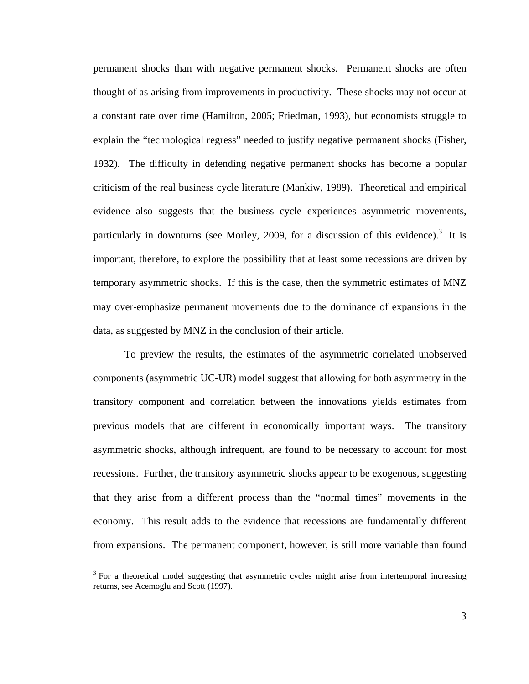permanent shocks than with negative permanent shocks. Permanent shocks are often thought of as arising from improvements in productivity. These shocks may not occur at a constant rate over time (Hamilton, 2005; Friedman, 1993), but economists struggle to explain the "technological regress" needed to justify negative permanent shocks (Fisher, 1932). The difficulty in defending negative permanent shocks has become a popular criticism of the real business cycle literature (Mankiw, 1989). Theoretical and empirical evidence also suggests that the business cycle experiences asymmetric movements, particularly in downturns (see Morley, 2009, for a discussion of this evidence).<sup>3</sup> It is important, therefore, to explore the possibility that at least some recessions are driven by temporary asymmetric shocks. If this is the case, then the symmetric estimates of MNZ may over-emphasize permanent movements due to the dominance of expansions in the data, as suggested by MNZ in the conclusion of their article.

To preview the results, the estimates of the asymmetric correlated unobserved components (asymmetric UC-UR) model suggest that allowing for both asymmetry in the transitory component and correlation between the innovations yields estimates from previous models that are different in economically important ways. The transitory asymmetric shocks, although infrequent, are found to be necessary to account for most recessions. Further, the transitory asymmetric shocks appear to be exogenous, suggesting that they arise from a different process than the "normal times" movements in the economy. This result adds to the evidence that recessions are fundamentally different from expansions. The permanent component, however, is still more variable than found

1

 $3$  For a theoretical model suggesting that asymmetric cycles might arise from intertemporal increasing returns, see Acemoglu and Scott (1997).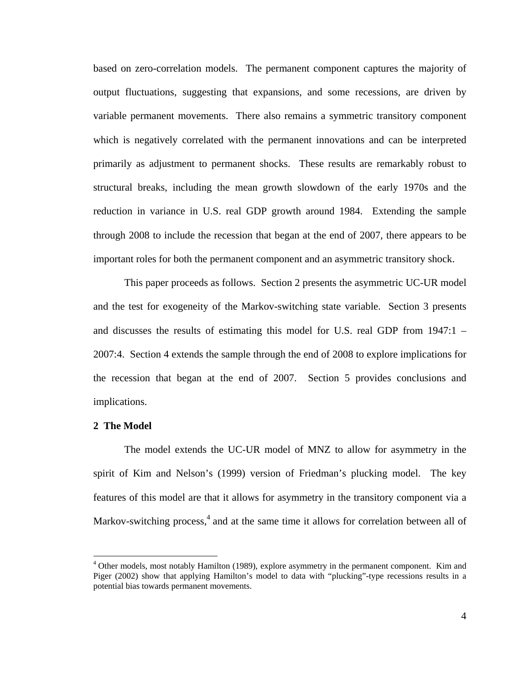based on zero-correlation models. The permanent component captures the majority of output fluctuations, suggesting that expansions, and some recessions, are driven by variable permanent movements. There also remains a symmetric transitory component which is negatively correlated with the permanent innovations and can be interpreted primarily as adjustment to permanent shocks. These results are remarkably robust to structural breaks, including the mean growth slowdown of the early 1970s and the reduction in variance in U.S. real GDP growth around 1984. Extending the sample through 2008 to include the recession that began at the end of 2007, there appears to be important roles for both the permanent component and an asymmetric transitory shock.

This paper proceeds as follows. Section 2 presents the asymmetric UC-UR model and the test for exogeneity of the Markov-switching state variable. Section 3 presents and discusses the results of estimating this model for U.S. real GDP from 1947:1 – 2007:4. Section 4 extends the sample through the end of 2008 to explore implications for the recession that began at the end of 2007. Section 5 provides conclusions and implications.

#### **2 The Model**

 $\overline{a}$ 

The model extends the UC-UR model of MNZ to allow for asymmetry in the spirit of Kim and Nelson's (1999) version of Friedman's plucking model. The key features of this model are that it allows for asymmetry in the transitory component via a Markov-switching process,<sup>4</sup> and at the same time it allows for correlation between all of

<sup>&</sup>lt;sup>4</sup> Other models, most notably Hamilton (1989), explore asymmetry in the permanent component. Kim and Piger (2002) show that applying Hamilton's model to data with "plucking"-type recessions results in a potential bias towards permanent movements.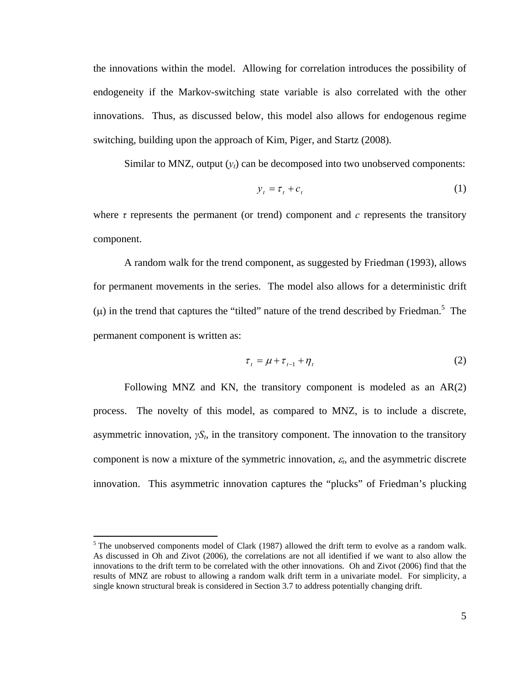the innovations within the model. Allowing for correlation introduces the possibility of endogeneity if the Markov-switching state variable is also correlated with the other innovations. Thus, as discussed below, this model also allows for endogenous regime switching, building upon the approach of Kim, Piger, and Startz (2008).

Similar to MNZ, output  $(y_t)$  can be decomposed into two unobserved components:

$$
y_t = \tau_t + c_t \tag{1}
$$

where  $\tau$  represents the permanent (or trend) component and  $\sigma$  represents the transitory component.

A random walk for the trend component, as suggested by Friedman (1993), allows for permanent movements in the series. The model also allows for a deterministic drift (μ) in the trend that captures the "tilted" nature of the trend described by Friedman.<sup>5</sup> The permanent component is written as:

$$
\tau_t = \mu + \tau_{t-1} + \eta_t \tag{2}
$$

Following MNZ and KN, the transitory component is modeled as an AR(2) process. The novelty of this model, as compared to MNZ, is to include a discrete, asymmetric innovation, *γSt*, in the transitory component. The innovation to the transitory component is now a mixture of the symmetric innovation, <sup>ε</sup>*t*, and the asymmetric discrete innovation.This asymmetric innovation captures the "plucks" of Friedman's plucking

1

 $<sup>5</sup>$  The unobserved components model of Clark (1987) allowed the drift term to evolve as a random walk.</sup> As discussed in Oh and Zivot (2006), the correlations are not all identified if we want to also allow the innovations to the drift term to be correlated with the other innovations. Oh and Zivot (2006) find that the results of MNZ are robust to allowing a random walk drift term in a univariate model. For simplicity, a single known structural break is considered in Section 3.7 to address potentially changing drift.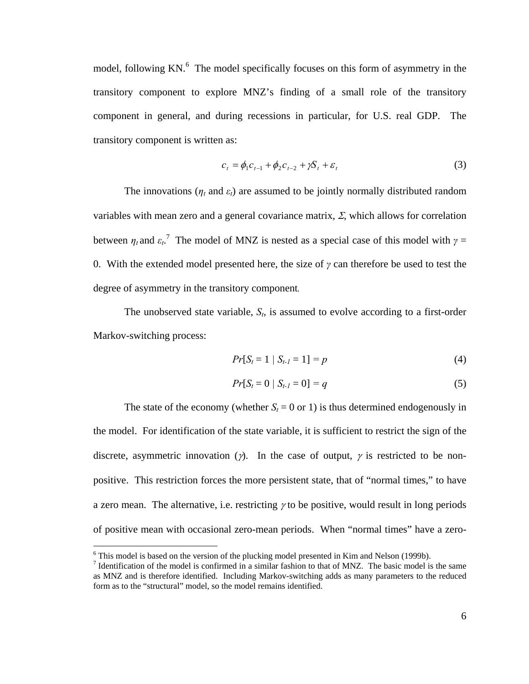model, following KN.<sup>6</sup> The model specifically focuses on this form of asymmetry in the transitory component to explore MNZ's finding of a small role of the transitory component in general, and during recessions in particular, for U.S. real GDP. The transitory component is written as:

$$
c_t = \phi_1 c_{t-1} + \phi_2 c_{t-2} + \gamma S_t + \varepsilon_t \tag{3}
$$

The innovations ( $n_t$  and  $\varepsilon_t$ ) are assumed to be jointly normally distributed random variables with mean zero and a general covariance matrix,  $\Sigma$ , which allows for correlation between  $\eta_t$  and  $\varepsilon_t$ <sup>7</sup>. The model of MNZ is nested as a special case of this model with  $\gamma =$ 0. With the extended model presented here, the size of *γ* can therefore be used to test the degree of asymmetry in the transitory component*.*

The unobserved state variable,  $S_t$ , is assumed to evolve according to a first-order Markov-switching process:

$$
Pr[S_t = 1 | S_{t-1} = 1] = p \tag{4}
$$

$$
Pr[S_t = 0 | S_{t-1} = 0] = q \tag{5}
$$

The state of the economy (whether  $S_t = 0$  or 1) is thus determined endogenously in the model. For identification of the state variable, it is sufficient to restrict the sign of the discrete, asymmetric innovation ( $\gamma$ ). In the case of output,  $\gamma$  is restricted to be nonpositive. This restriction forces the more persistent state, that of "normal times," to have a zero mean. The alternative, i.e. restricting  $\gamma$  to be positive, would result in long periods of positive mean with occasional zero-mean periods. When "normal times" have a zero-

 $\overline{a}$ 

 $6$  This model is based on the version of the plucking model presented in Kim and Nelson (1999b).

<sup>&</sup>lt;sup>7</sup> Identification of the model is confirmed in a similar fashion to that of MNZ. The basic model is the same as MNZ and is therefore identified. Including Markov-switching adds as many parameters to the reduced form as to the "structural" model, so the model remains identified.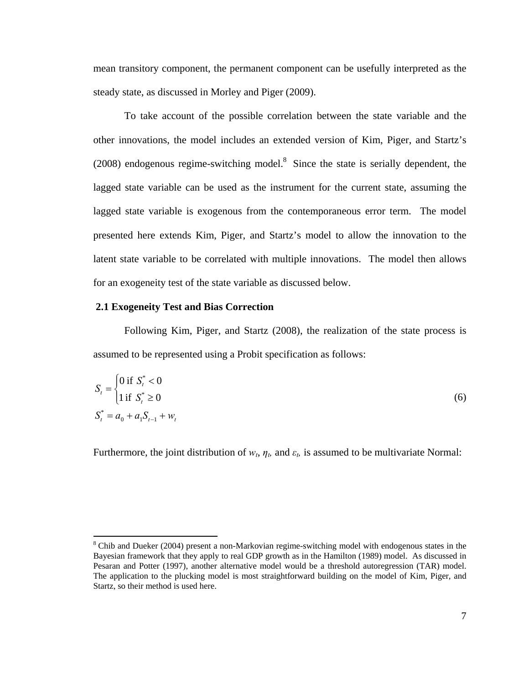mean transitory component, the permanent component can be usefully interpreted as the steady state, as discussed in Morley and Piger (2009).

To take account of the possible correlation between the state variable and the other innovations, the model includes an extended version of Kim, Piger, and Startz's  $(2008)$  endogenous regime-switching model.<sup>8</sup> Since the state is serially dependent, the lagged state variable can be used as the instrument for the current state, assuming the lagged state variable is exogenous from the contemporaneous error term. The model presented here extends Kim, Piger, and Startz's model to allow the innovation to the latent state variable to be correlated with multiple innovations. The model then allows for an exogeneity test of the state variable as discussed below.

#### **2.1 Exogeneity Test and Bias Correction**

 $\overline{a}$ 

Following Kim, Piger, and Startz (2008), the realization of the state process is assumed to be represented using a Probit specification as follows:

$$
S_{t} = \begin{cases} 0 \text{ if } S_{t}^{*} < 0 \\ 1 \text{ if } S_{t}^{*} \ge 0 \end{cases}
$$
  

$$
S_{t}^{*} = a_{0} + a_{1} S_{t-1} + w_{t}
$$
 (6)

Furthermore, the joint distribution of  $w_t$ ,  $\eta_t$ , and  $\varepsilon_t$  is assumed to be multivariate Normal:

<sup>&</sup>lt;sup>8</sup> Chib and Dueker (2004) present a non-Markovian regime-switching model with endogenous states in the Bayesian framework that they apply to real GDP growth as in the Hamilton (1989) model. As discussed in Pesaran and Potter (1997), another alternative model would be a threshold autoregression (TAR) model. The application to the plucking model is most straightforward building on the model of Kim, Piger, and Startz, so their method is used here.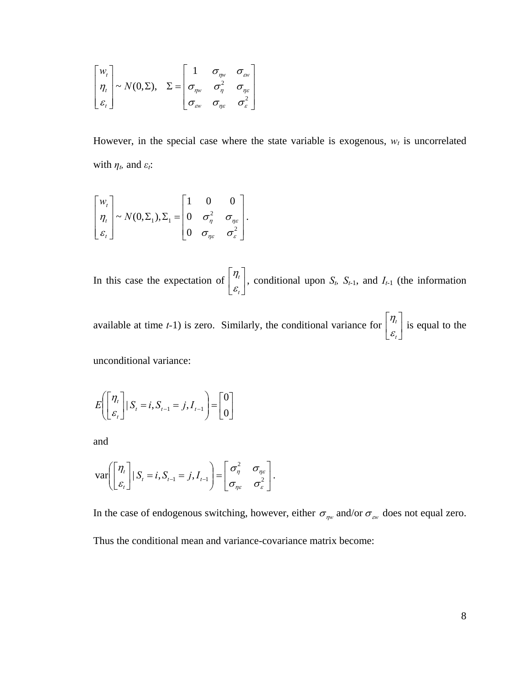$$
\begin{bmatrix} w_t \\ \eta_t \\ \varepsilon_t \end{bmatrix} \sim N(0, \Sigma), \quad \Sigma = \begin{bmatrix} 1 & \sigma_{\eta w} & \sigma_{\omega w} \\ \sigma_{\eta w} & \sigma_{\eta}^2 & \sigma_{\eta \varepsilon} \\ \sigma_{\omega w} & \sigma_{\eta \varepsilon} & \sigma_{\varepsilon}^2 \end{bmatrix}
$$

However, in the special case where the state variable is exogenous,  $w_t$  is uncorrelated with  $\eta_t$ , and  $\varepsilon_t$ :

$$
\begin{bmatrix} w_t \\ \eta_t \\ \varepsilon_t \end{bmatrix} \sim N(0, \Sigma_1), \Sigma_1 = \begin{bmatrix} 1 & 0 & 0 \\ 0 & \sigma_{\eta}^2 & \sigma_{\eta\varepsilon} \\ 0 & \sigma_{\eta\varepsilon} & \sigma_{\varepsilon}^2 \end{bmatrix}.
$$

In this case the expectation of  $\begin{bmatrix} n \\ n \end{bmatrix}$ ⎦  $\left|\frac{\eta_{_t}}{c}\right|$ ⎣  $\mathsf{L}$ *t t*  $\left\{\frac{\eta_i}{\varepsilon}\right\}$ , conditional upon *S<sub>t</sub>*, *S<sub>t<sup>-1</sub>*, and *I<sub>t-1</sub>* (the information</sub></sup>

available at time *t*-1) is zero. Similarly, the conditional variance for  $\begin{bmatrix} n \\ n \end{bmatrix}$ ⎦  $\left| \frac{\eta_{t}}{c} \right|$ ⎣  $\mathsf{L}$ *t t*  $\left| \frac{\eta_i}{\varepsilon} \right|$  is equal to the

unconditional variance:

$$
E\left(\begin{bmatrix} \eta_t \\ \varepsilon_t \end{bmatrix} | S_t = i, S_{t-1} = j, I_{t-1}\right) = \begin{bmatrix} 0 \\ 0 \end{bmatrix}
$$

and

$$
\text{var}\bigg(\begin{bmatrix} \eta_t \\ \varepsilon_t \end{bmatrix} | S_t = i, S_{t-1} = j, I_{t-1}\bigg) = \begin{bmatrix} \sigma_{\eta}^2 & \sigma_{\eta\varepsilon} \\ \sigma_{\eta\varepsilon} & \sigma_{\varepsilon}^2 \end{bmatrix}.
$$

In the case of endogenous switching, however, either  $\sigma_{\eta w}$  and/or  $\sigma_{\alpha w}$  does not equal zero. Thus the conditional mean and variance-covariance matrix become: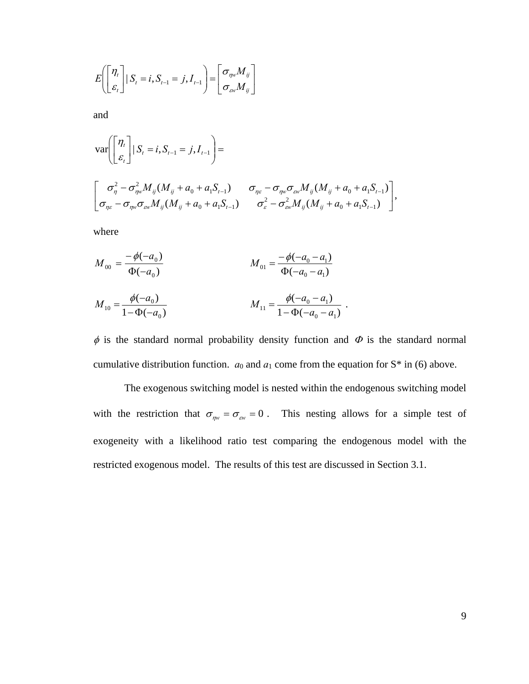$$
E\left(\begin{bmatrix} \eta_t \\ \varepsilon_t \end{bmatrix} | S_t = i, S_{t-1} = j, I_{t-1}\right) = \begin{bmatrix} \sigma_{\eta\upsilon} M_{ij} \\ \sigma_{\omega\upsilon} M_{ij} \end{bmatrix}
$$

and

$$
\begin{split}\n\text{var}\bigg[\begin{bmatrix} \eta_t \\ \varepsilon_t \end{bmatrix} | S_t = i, S_{t-1} = j, I_{t-1} \bigg] &= \\
\bigg[\begin{matrix} \sigma_{\eta}^2 - \sigma_{\eta w}^2 M_{ij} (M_{ij} + a_0 + a_1 S_{t-1}) & \sigma_{\eta \varepsilon} - \sigma_{\eta w} \sigma_{\varepsilon w} M_{ij} (M_{ij} + a_0 + a_1 S_{t-1}) \\ \sigma_{\eta \varepsilon} - \sigma_{\eta w} \sigma_{\varepsilon w} M_{ij} (M_{ij} + a_0 + a_1 S_{t-1}) & \sigma_{\varepsilon}^2 - \sigma_{\varepsilon w}^2 M_{ij} (M_{ij} + a_0 + a_1 S_{t-1}) \end{matrix}\bigg],\n\end{split}
$$

where

$$
M_{00} = \frac{-\phi(-a_0)}{\Phi(-a_0)}
$$
  
\n
$$
M_{01} = \frac{-\phi(-a_0 - a_1)}{\Phi(-a_0 - a_1)}
$$
  
\n
$$
M_{10} = \frac{\phi(-a_0)}{1 - \Phi(-a_0)}
$$
  
\n
$$
M_{11} = \frac{\phi(-a_0 - a_1)}{1 - \Phi(-a_0 - a_1)}
$$

 $\phi$  is the standard normal probability density function and  $\Phi$  is the standard normal cumulative distribution function.  $a_0$  and  $a_1$  come from the equation for  $S^*$  in (6) above.

 $\overline{\phantom{a}}$ ⎦

The exogenous switching model is nested within the endogenous switching model with the restriction that  $\sigma_{\eta w} = \sigma_{\alpha w} = 0$ . This nesting allows for a simple test of exogeneity with a likelihood ratio test comparing the endogenous model with the restricted exogenous model. The results of this test are discussed in Section 3.1.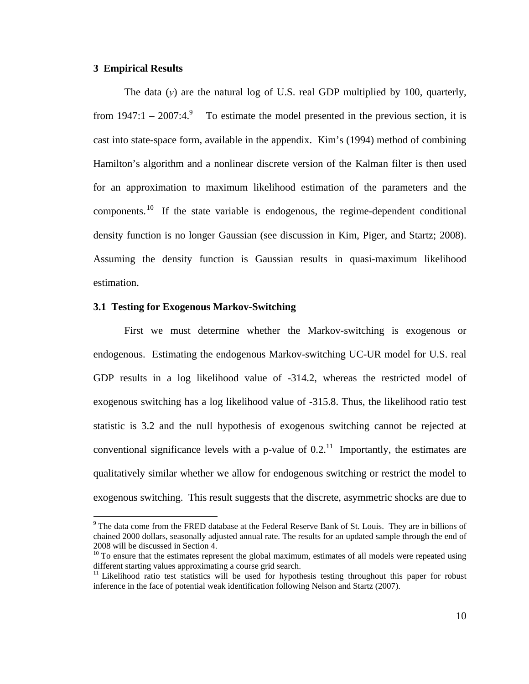# **3 Empirical Results**

 $\overline{a}$ 

The data (*y*) are the natural log of U.S. real GDP multiplied by 100, quarterly, from  $1947:1 - 2007:4.^9$  To estimate the model presented in the previous section, it is cast into state-space form, available in the appendix. Kim's (1994) method of combining Hamilton's algorithm and a nonlinear discrete version of the Kalman filter is then used for an approximation to maximum likelihood estimation of the parameters and the components.<sup>10</sup> If the state variable is endogenous, the regime-dependent conditional density function is no longer Gaussian (see discussion in Kim, Piger, and Startz; 2008). Assuming the density function is Gaussian results in quasi-maximum likelihood estimation.

# **3.1 Testing for Exogenous Markov-Switching**

First we must determine whether the Markov-switching is exogenous or endogenous. Estimating the endogenous Markov-switching UC-UR model for U.S. real GDP results in a log likelihood value of -314.2, whereas the restricted model of exogenous switching has a log likelihood value of -315.8. Thus, the likelihood ratio test statistic is 3.2 and the null hypothesis of exogenous switching cannot be rejected at conventional significance levels with a p-value of  $0.2$ .<sup>11</sup> Importantly, the estimates are qualitatively similar whether we allow for endogenous switching or restrict the model to exogenous switching. This result suggests that the discrete, asymmetric shocks are due to

 $9$  The data come from the FRED database at the Federal Reserve Bank of St. Louis. They are in billions of chained 2000 dollars, seasonally adjusted annual rate. The results for an updated sample through the end of 2008 will be discussed in Section 4.

 $10$  To ensure that the estimates represent the global maximum, estimates of all models were repeated using different starting values approximating a course grid search.

 $11$  Likelihood ratio test statistics will be used for hypothesis testing throughout this paper for robust inference in the face of potential weak identification following Nelson and Startz (2007).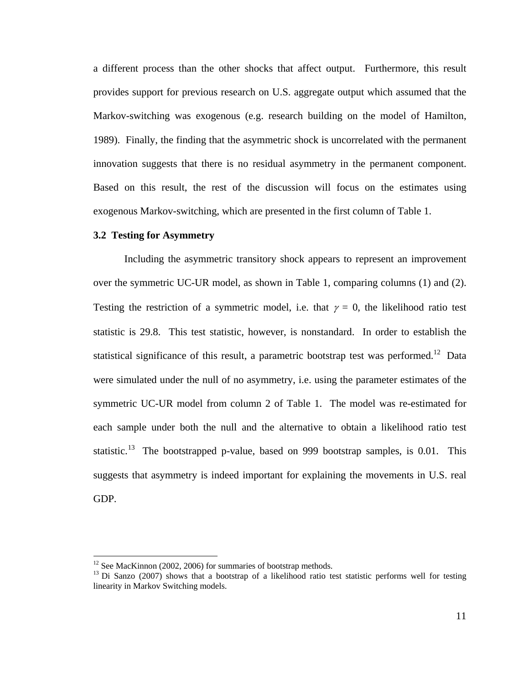a different process than the other shocks that affect output. Furthermore, this result provides support for previous research on U.S. aggregate output which assumed that the Markov-switching was exogenous (e.g. research building on the model of Hamilton, 1989). Finally, the finding that the asymmetric shock is uncorrelated with the permanent innovation suggests that there is no residual asymmetry in the permanent component. Based on this result, the rest of the discussion will focus on the estimates using exogenous Markov-switching, which are presented in the first column of Table 1.

#### **3.2 Testing for Asymmetry**

Including the asymmetric transitory shock appears to represent an improvement over the symmetric UC-UR model, as shown in Table 1, comparing columns (1) and (2). Testing the restriction of a symmetric model, i.e. that  $\gamma = 0$ , the likelihood ratio test statistic is 29.8. This test statistic, however, is nonstandard. In order to establish the statistical significance of this result, a parametric bootstrap test was performed.<sup>12</sup> Data were simulated under the null of no asymmetry, i.e. using the parameter estimates of the symmetric UC-UR model from column 2 of Table 1. The model was re-estimated for each sample under both the null and the alternative to obtain a likelihood ratio test statistic.<sup>13</sup> The bootstrapped p-value, based on 999 bootstrap samples, is 0.01. This suggests that asymmetry is indeed important for explaining the movements in U.S. real GDP.

 $\overline{a}$ 

<sup>&</sup>lt;sup>12</sup> See MacKinnon (2002, 2006) for summaries of bootstrap methods.

<sup>&</sup>lt;sup>13</sup> Di Sanzo (2007) shows that a bootstrap of a likelihood ratio test statistic performs well for testing linearity in Markov Switching models.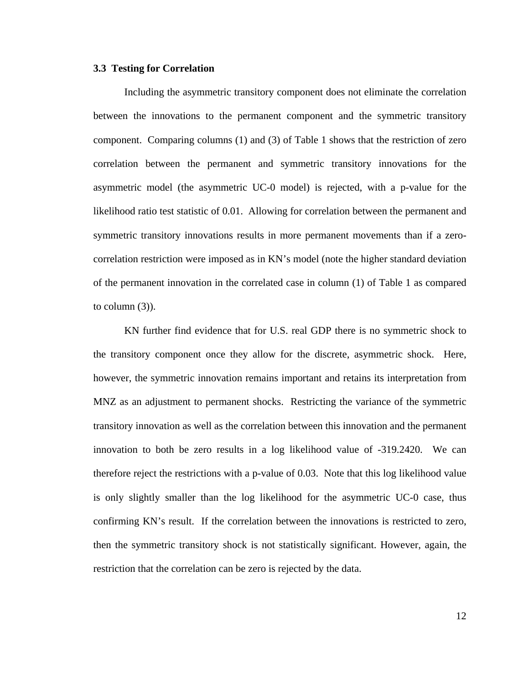#### **3.3 Testing for Correlation**

Including the asymmetric transitory component does not eliminate the correlation between the innovations to the permanent component and the symmetric transitory component. Comparing columns (1) and (3) of Table 1 shows that the restriction of zero correlation between the permanent and symmetric transitory innovations for the asymmetric model (the asymmetric UC-0 model) is rejected, with a p-value for the likelihood ratio test statistic of 0.01. Allowing for correlation between the permanent and symmetric transitory innovations results in more permanent movements than if a zerocorrelation restriction were imposed as in KN's model (note the higher standard deviation of the permanent innovation in the correlated case in column (1) of Table 1 as compared to column  $(3)$ ).

KN further find evidence that for U.S. real GDP there is no symmetric shock to the transitory component once they allow for the discrete, asymmetric shock. Here, however, the symmetric innovation remains important and retains its interpretation from MNZ as an adjustment to permanent shocks. Restricting the variance of the symmetric transitory innovation as well as the correlation between this innovation and the permanent innovation to both be zero results in a log likelihood value of -319.2420. We can therefore reject the restrictions with a p-value of 0.03. Note that this log likelihood value is only slightly smaller than the log likelihood for the asymmetric UC-0 case, thus confirming KN's result. If the correlation between the innovations is restricted to zero, then the symmetric transitory shock is not statistically significant. However, again, the restriction that the correlation can be zero is rejected by the data.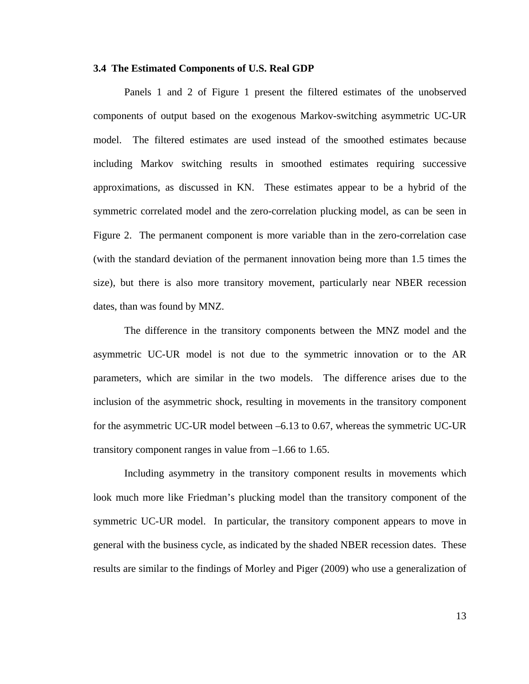#### **3.4 The Estimated Components of U.S. Real GDP**

Panels 1 and 2 of Figure 1 present the filtered estimates of the unobserved components of output based on the exogenous Markov-switching asymmetric UC-UR model. The filtered estimates are used instead of the smoothed estimates because including Markov switching results in smoothed estimates requiring successive approximations, as discussed in KN. These estimates appear to be a hybrid of the symmetric correlated model and the zero-correlation plucking model, as can be seen in Figure 2. The permanent component is more variable than in the zero-correlation case (with the standard deviation of the permanent innovation being more than 1.5 times the size), but there is also more transitory movement, particularly near NBER recession dates, than was found by MNZ.

The difference in the transitory components between the MNZ model and the asymmetric UC-UR model is not due to the symmetric innovation or to the AR parameters, which are similar in the two models. The difference arises due to the inclusion of the asymmetric shock, resulting in movements in the transitory component for the asymmetric UC-UR model between –6.13 to 0.67, whereas the symmetric UC-UR transitory component ranges in value from –1.66 to 1.65.

Including asymmetry in the transitory component results in movements which look much more like Friedman's plucking model than the transitory component of the symmetric UC-UR model. In particular, the transitory component appears to move in general with the business cycle, as indicated by the shaded NBER recession dates. These results are similar to the findings of Morley and Piger (2009) who use a generalization of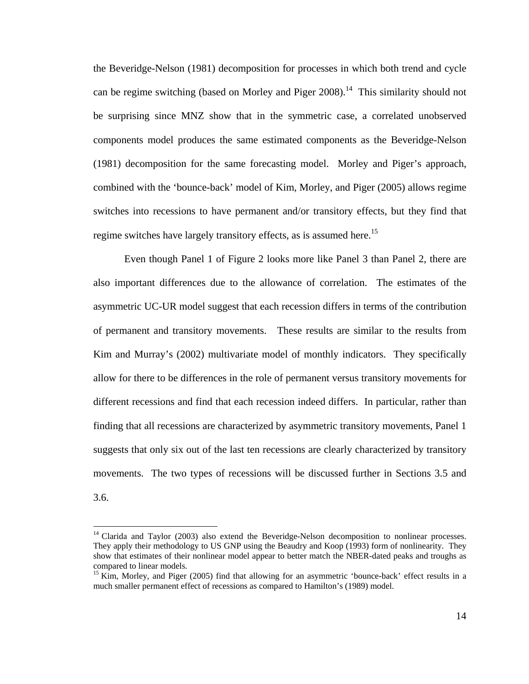the Beveridge-Nelson (1981) decomposition for processes in which both trend and cycle can be regime switching (based on Morley and Piger 2008).<sup>14</sup> This similarity should not be surprising since MNZ show that in the symmetric case, a correlated unobserved components model produces the same estimated components as the Beveridge-Nelson (1981) decomposition for the same forecasting model. Morley and Piger's approach, combined with the 'bounce-back' model of Kim, Morley, and Piger (2005) allows regime switches into recessions to have permanent and/or transitory effects, but they find that regime switches have largely transitory effects, as is assumed here.<sup>15</sup>

Even though Panel 1 of Figure 2 looks more like Panel 3 than Panel 2, there are also important differences due to the allowance of correlation. The estimates of the asymmetric UC-UR model suggest that each recession differs in terms of the contribution of permanent and transitory movements. These results are similar to the results from Kim and Murray's (2002) multivariate model of monthly indicators. They specifically allow for there to be differences in the role of permanent versus transitory movements for different recessions and find that each recession indeed differs. In particular, rather than finding that all recessions are characterized by asymmetric transitory movements, Panel 1 suggests that only six out of the last ten recessions are clearly characterized by transitory movements. The two types of recessions will be discussed further in Sections 3.5 and 3.6.

 $\overline{a}$ 

<sup>&</sup>lt;sup>14</sup> Clarida and Taylor (2003) also extend the Beveridge-Nelson decomposition to nonlinear processes. They apply their methodology to US GNP using the Beaudry and Koop (1993) form of nonlinearity. They show that estimates of their nonlinear model appear to better match the NBER-dated peaks and troughs as compared to linear models.

<sup>&</sup>lt;sup>15</sup> Kim, Morley, and Piger (2005) find that allowing for an asymmetric 'bounce-back' effect results in a much smaller permanent effect of recessions as compared to Hamilton's (1989) model.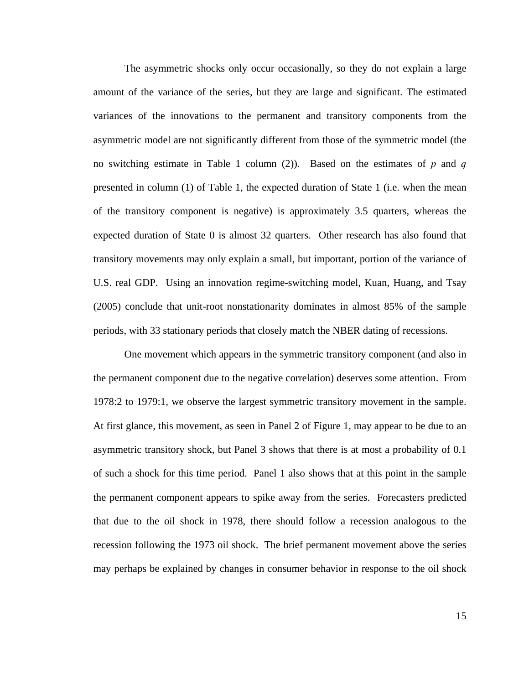The asymmetric shocks only occur occasionally, so they do not explain a large amount of the variance of the series, but they are large and significant. The estimated variances of the innovations to the permanent and transitory components from the asymmetric model are not significantly different from those of the symmetric model (the no switching estimate in Table 1 column (2)). Based on the estimates of *p* and *q* presented in column (1) of Table 1, the expected duration of State 1 (i.e. when the mean of the transitory component is negative) is approximately 3.5 quarters, whereas the expected duration of State 0 is almost 32 quarters. Other research has also found that transitory movements may only explain a small, but important, portion of the variance of U.S. real GDP. Using an innovation regime-switching model, Kuan, Huang, and Tsay (2005) conclude that unit-root nonstationarity dominates in almost 85% of the sample periods, with 33 stationary periods that closely match the NBER dating of recessions.

One movement which appears in the symmetric transitory component (and also in the permanent component due to the negative correlation) deserves some attention. From 1978:2 to 1979:1, we observe the largest symmetric transitory movement in the sample. At first glance, this movement, as seen in Panel 2 of Figure 1, may appear to be due to an asymmetric transitory shock, but Panel 3 shows that there is at most a probability of 0.1 of such a shock for this time period. Panel 1 also shows that at this point in the sample the permanent component appears to spike away from the series. Forecasters predicted that due to the oil shock in 1978, there should follow a recession analogous to the recession following the 1973 oil shock. The brief permanent movement above the series may perhaps be explained by changes in consumer behavior in response to the oil shock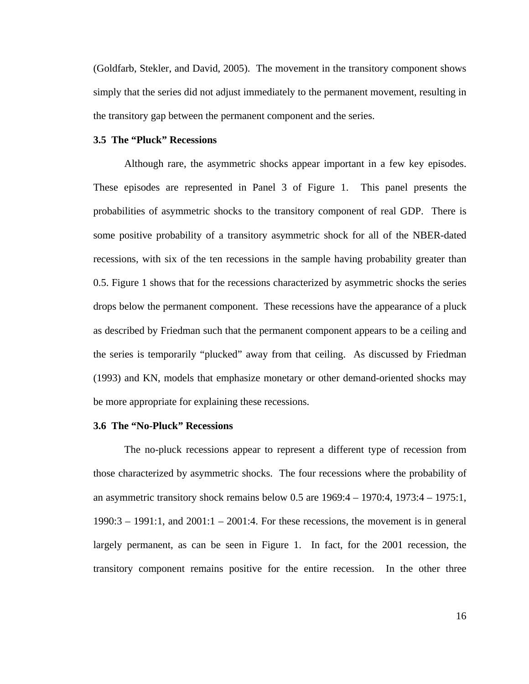(Goldfarb, Stekler, and David, 2005). The movement in the transitory component shows simply that the series did not adjust immediately to the permanent movement, resulting in the transitory gap between the permanent component and the series.

#### **3.5 The "Pluck" Recessions**

Although rare, the asymmetric shocks appear important in a few key episodes. These episodes are represented in Panel 3 of Figure 1. This panel presents the probabilities of asymmetric shocks to the transitory component of real GDP. There is some positive probability of a transitory asymmetric shock for all of the NBER-dated recessions, with six of the ten recessions in the sample having probability greater than 0.5. Figure 1 shows that for the recessions characterized by asymmetric shocks the series drops below the permanent component. These recessions have the appearance of a pluck as described by Friedman such that the permanent component appears to be a ceiling and the series is temporarily "plucked" away from that ceiling. As discussed by Friedman (1993) and KN, models that emphasize monetary or other demand-oriented shocks may be more appropriate for explaining these recessions.

#### **3.6 The "No-Pluck" Recessions**

The no-pluck recessions appear to represent a different type of recession from those characterized by asymmetric shocks. The four recessions where the probability of an asymmetric transitory shock remains below 0.5 are 1969:4 – 1970:4, 1973:4 – 1975:1,  $1990:3 - 1991:1$ , and  $2001:1 - 2001:4$ . For these recessions, the movement is in general largely permanent, as can be seen in Figure 1. In fact, for the 2001 recession, the transitory component remains positive for the entire recession. In the other three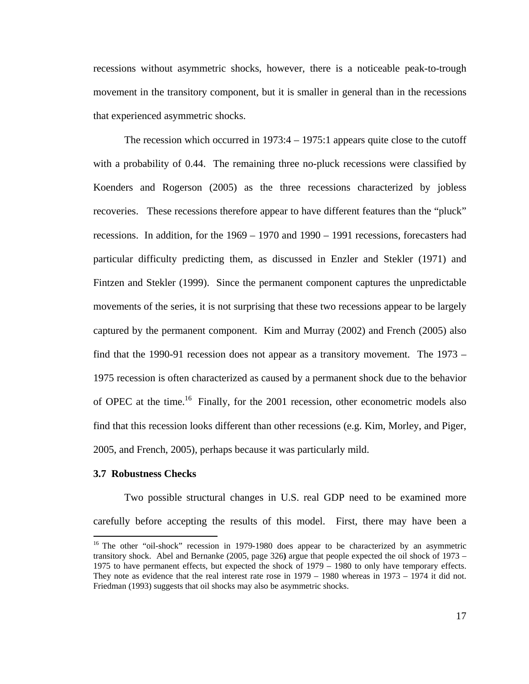recessions without asymmetric shocks, however, there is a noticeable peak-to-trough movement in the transitory component, but it is smaller in general than in the recessions that experienced asymmetric shocks.

The recession which occurred in 1973:4 – 1975:1 appears quite close to the cutoff with a probability of 0.44. The remaining three no-pluck recessions were classified by Koenders and Rogerson (2005) as the three recessions characterized by jobless recoveries. These recessions therefore appear to have different features than the "pluck" recessions. In addition, for the 1969 – 1970 and 1990 – 1991 recessions, forecasters had particular difficulty predicting them, as discussed in Enzler and Stekler (1971) and Fintzen and Stekler (1999). Since the permanent component captures the unpredictable movements of the series, it is not surprising that these two recessions appear to be largely captured by the permanent component. Kim and Murray (2002) and French (2005) also find that the 1990-91 recession does not appear as a transitory movement. The 1973 – 1975 recession is often characterized as caused by a permanent shock due to the behavior of OPEC at the time.<sup>16</sup> Finally, for the 2001 recession, other econometric models also find that this recession looks different than other recessions (e.g. Kim, Morley, and Piger, 2005, and French, 2005), perhaps because it was particularly mild.

#### **3.7 Robustness Checks**

1

Two possible structural changes in U.S. real GDP need to be examined more carefully before accepting the results of this model. First, there may have been a

<sup>&</sup>lt;sup>16</sup> The other "oil-shock" recession in 1979-1980 does appear to be characterized by an asymmetric transitory shock. Abel and Bernanke (2005, page 326**)** argue that people expected the oil shock of 1973 – 1975 to have permanent effects, but expected the shock of 1979 – 1980 to only have temporary effects. They note as evidence that the real interest rate rose in 1979 – 1980 whereas in 1973 – 1974 it did not. Friedman (1993) suggests that oil shocks may also be asymmetric shocks.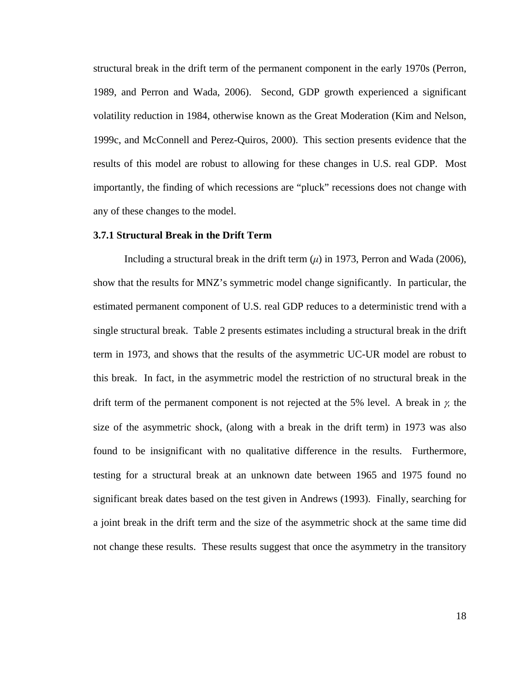structural break in the drift term of the permanent component in the early 1970s (Perron, 1989, and Perron and Wada, 2006). Second, GDP growth experienced a significant volatility reduction in 1984, otherwise known as the Great Moderation (Kim and Nelson, 1999c, and McConnell and Perez-Quiros, 2000). This section presents evidence that the results of this model are robust to allowing for these changes in U.S. real GDP. Most importantly, the finding of which recessions are "pluck" recessions does not change with any of these changes to the model.

#### **3.7.1 Structural Break in the Drift Term**

Including a structural break in the drift term  $(\mu)$  in 1973, Perron and Wada (2006), show that the results for MNZ's symmetric model change significantly. In particular, the estimated permanent component of U.S. real GDP reduces to a deterministic trend with a single structural break. Table 2 presents estimates including a structural break in the drift term in 1973, and shows that the results of the asymmetric UC-UR model are robust to this break. In fact, in the asymmetric model the restriction of no structural break in the drift term of the permanent component is not rejected at the 5% level. A break in γ*,* the size of the asymmetric shock, (along with a break in the drift term) in 1973 was also found to be insignificant with no qualitative difference in the results. Furthermore, testing for a structural break at an unknown date between 1965 and 1975 found no significant break dates based on the test given in Andrews (1993). Finally, searching for a joint break in the drift term and the size of the asymmetric shock at the same time did not change these results. These results suggest that once the asymmetry in the transitory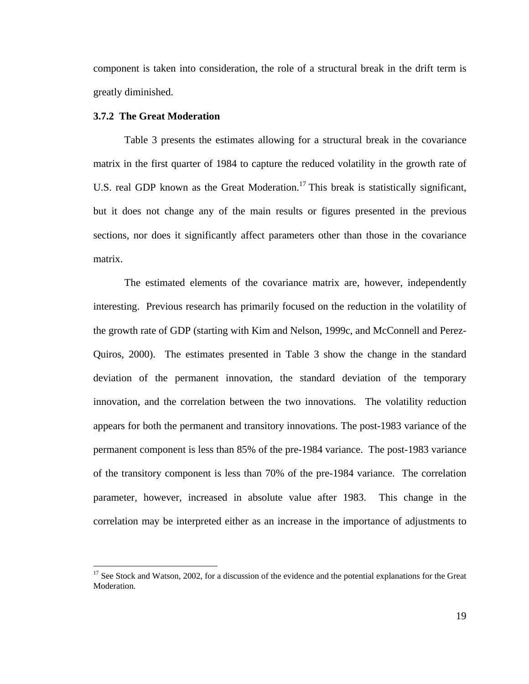component is taken into consideration, the role of a structural break in the drift term is greatly diminished.

## **3.7.2 The Great Moderation**

 $\overline{a}$ 

Table 3 presents the estimates allowing for a structural break in the covariance matrix in the first quarter of 1984 to capture the reduced volatility in the growth rate of U.S. real GDP known as the Great Moderation.<sup>17</sup> This break is statistically significant, but it does not change any of the main results or figures presented in the previous sections, nor does it significantly affect parameters other than those in the covariance matrix.

The estimated elements of the covariance matrix are, however, independently interesting. Previous research has primarily focused on the reduction in the volatility of the growth rate of GDP (starting with Kim and Nelson, 1999c, and McConnell and Perez-Quiros, 2000). The estimates presented in Table 3 show the change in the standard deviation of the permanent innovation, the standard deviation of the temporary innovation, and the correlation between the two innovations.The volatility reduction appears for both the permanent and transitory innovations. The post-1983 variance of the permanent component is less than 85% of the pre-1984 variance. The post-1983 variance of the transitory component is less than 70% of the pre-1984 variance. The correlation parameter, however, increased in absolute value after 1983. This change in the correlation may be interpreted either as an increase in the importance of adjustments to

<sup>&</sup>lt;sup>17</sup> See Stock and Watson, 2002, for a discussion of the evidence and the potential explanations for the Great Moderation.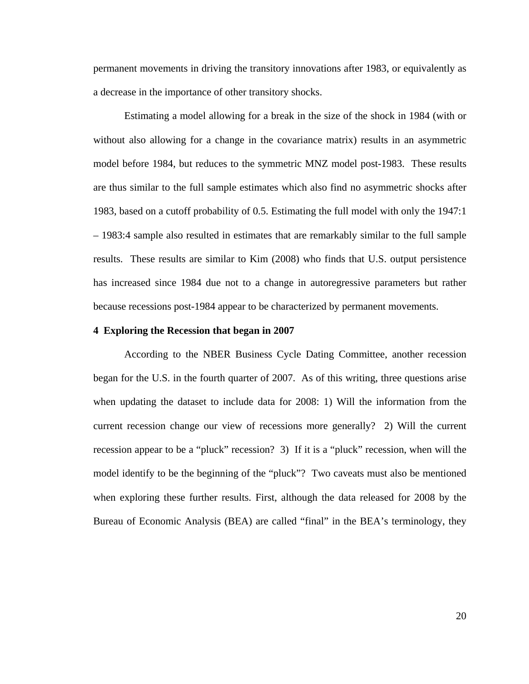permanent movements in driving the transitory innovations after 1983, or equivalently as a decrease in the importance of other transitory shocks.

Estimating a model allowing for a break in the size of the shock in 1984 (with or without also allowing for a change in the covariance matrix) results in an asymmetric model before 1984, but reduces to the symmetric MNZ model post-1983. These results are thus similar to the full sample estimates which also find no asymmetric shocks after 1983, based on a cutoff probability of 0.5. Estimating the full model with only the 1947:1 – 1983:4 sample also resulted in estimates that are remarkably similar to the full sample results. These results are similar to Kim (2008) who finds that U.S. output persistence has increased since 1984 due not to a change in autoregressive parameters but rather because recessions post-1984 appear to be characterized by permanent movements.

# **4 Exploring the Recession that began in 2007**

According to the NBER Business Cycle Dating Committee, another recession began for the U.S. in the fourth quarter of 2007. As of this writing, three questions arise when updating the dataset to include data for 2008: 1) Will the information from the current recession change our view of recessions more generally? 2) Will the current recession appear to be a "pluck" recession? 3) If it is a "pluck" recession, when will the model identify to be the beginning of the "pluck"? Two caveats must also be mentioned when exploring these further results. First, although the data released for 2008 by the Bureau of Economic Analysis (BEA) are called "final" in the BEA's terminology, they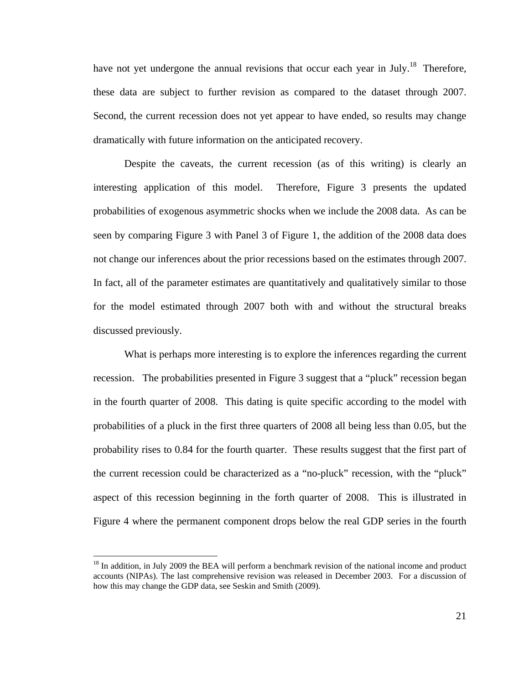have not yet undergone the annual revisions that occur each year in July.<sup>18</sup> Therefore, these data are subject to further revision as compared to the dataset through 2007. Second, the current recession does not yet appear to have ended, so results may change dramatically with future information on the anticipated recovery.

Despite the caveats, the current recession (as of this writing) is clearly an interesting application of this model. Therefore, Figure 3 presents the updated probabilities of exogenous asymmetric shocks when we include the 2008 data. As can be seen by comparing Figure 3 with Panel 3 of Figure 1, the addition of the 2008 data does not change our inferences about the prior recessions based on the estimates through 2007. In fact, all of the parameter estimates are quantitatively and qualitatively similar to those for the model estimated through 2007 both with and without the structural breaks discussed previously.

What is perhaps more interesting is to explore the inferences regarding the current recession. The probabilities presented in Figure 3 suggest that a "pluck" recession began in the fourth quarter of 2008. This dating is quite specific according to the model with probabilities of a pluck in the first three quarters of 2008 all being less than 0.05, but the probability rises to 0.84 for the fourth quarter. These results suggest that the first part of the current recession could be characterized as a "no-pluck" recession, with the "pluck" aspect of this recession beginning in the forth quarter of 2008. This is illustrated in Figure 4 where the permanent component drops below the real GDP series in the fourth

 $\overline{a}$ 

<sup>&</sup>lt;sup>18</sup> In addition, in July 2009 the BEA will perform a benchmark revision of the national income and product accounts (NIPAs). The last comprehensive revision was released in December 2003. For a discussion of how this may change the GDP data, see Seskin and Smith (2009).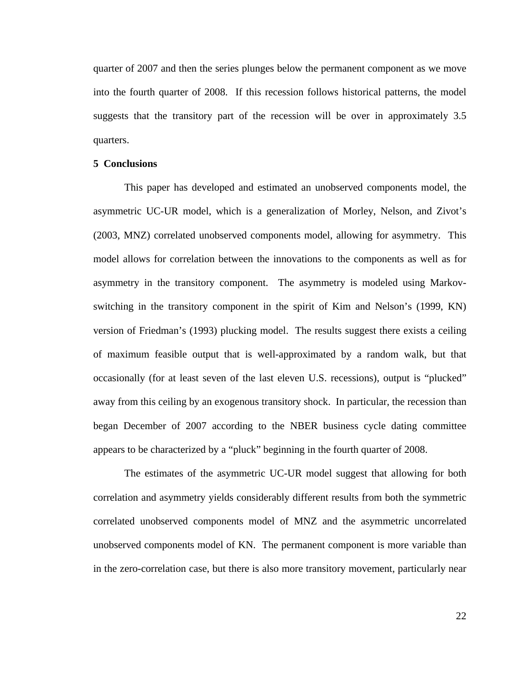quarter of 2007 and then the series plunges below the permanent component as we move into the fourth quarter of 2008. If this recession follows historical patterns, the model suggests that the transitory part of the recession will be over in approximately 3.5 quarters.

#### **5 Conclusions**

This paper has developed and estimated an unobserved components model, the asymmetric UC-UR model, which is a generalization of Morley, Nelson, and Zivot's (2003, MNZ) correlated unobserved components model, allowing for asymmetry. This model allows for correlation between the innovations to the components as well as for asymmetry in the transitory component. The asymmetry is modeled using Markovswitching in the transitory component in the spirit of Kim and Nelson's (1999, KN) version of Friedman's (1993) plucking model. The results suggest there exists a ceiling of maximum feasible output that is well-approximated by a random walk, but that occasionally (for at least seven of the last eleven U.S. recessions), output is "plucked" away from this ceiling by an exogenous transitory shock. In particular, the recession than began December of 2007 according to the NBER business cycle dating committee appears to be characterized by a "pluck" beginning in the fourth quarter of 2008.

The estimates of the asymmetric UC-UR model suggest that allowing for both correlation and asymmetry yields considerably different results from both the symmetric correlated unobserved components model of MNZ and the asymmetric uncorrelated unobserved components model of KN. The permanent component is more variable than in the zero-correlation case, but there is also more transitory movement, particularly near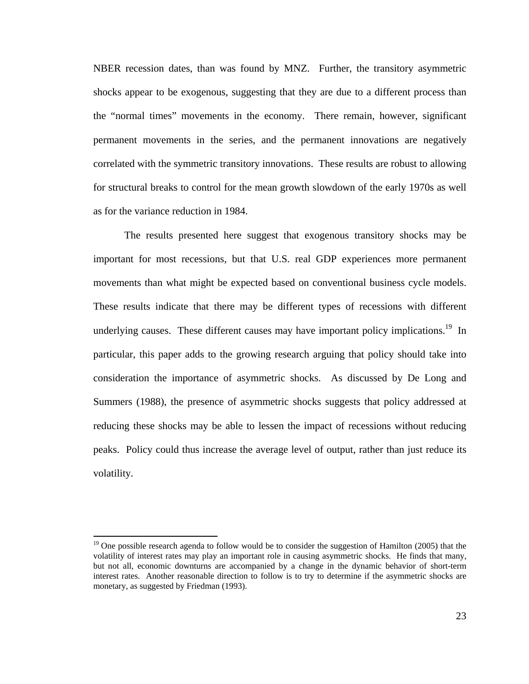NBER recession dates, than was found by MNZ. Further, the transitory asymmetric shocks appear to be exogenous, suggesting that they are due to a different process than the "normal times" movements in the economy. There remain, however, significant permanent movements in the series, and the permanent innovations are negatively correlated with the symmetric transitory innovations. These results are robust to allowing for structural breaks to control for the mean growth slowdown of the early 1970s as well as for the variance reduction in 1984.

The results presented here suggest that exogenous transitory shocks may be important for most recessions, but that U.S. real GDP experiences more permanent movements than what might be expected based on conventional business cycle models. These results indicate that there may be different types of recessions with different underlying causes. These different causes may have important policy implications.<sup>19</sup> In particular, this paper adds to the growing research arguing that policy should take into consideration the importance of asymmetric shocks. As discussed by De Long and Summers (1988), the presence of asymmetric shocks suggests that policy addressed at reducing these shocks may be able to lessen the impact of recessions without reducing peaks. Policy could thus increase the average level of output, rather than just reduce its volatility.

 $\overline{a}$ 

 $19$  One possible research agenda to follow would be to consider the suggestion of Hamilton (2005) that the volatility of interest rates may play an important role in causing asymmetric shocks. He finds that many, but not all, economic downturns are accompanied by a change in the dynamic behavior of short-term interest rates. Another reasonable direction to follow is to try to determine if the asymmetric shocks are monetary, as suggested by Friedman (1993).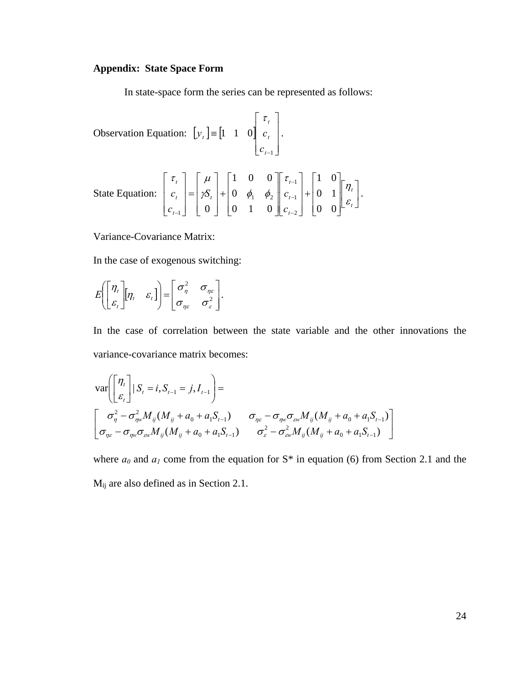# **Appendix: State Space Form**

In state-space form the series can be represented as follows:

Observation Equation:  $|y_t| = |1 \ 1 \ 0|$  $\overline{\phantom{a}}$  $\overline{\phantom{a}}$  $\overline{\phantom{a}}$ ⎦ ⎤  $\mathsf{L}$  $\mathsf{L}$ ⎣  $\mathsf{L}$ ≡ −1 1 1 0 *t t t t c*  $y_t = \begin{vmatrix} 1 & 1 & 0 \end{vmatrix} c$ τ . State Equation:  $\begin{vmatrix} c_i \end{vmatrix} = \begin{vmatrix} \mathcal{S}_i \end{vmatrix} + \begin{vmatrix} 0 & \phi_1 & \phi_2 \end{vmatrix} + \begin{vmatrix} c_{i-1} \end{vmatrix} + \begin{vmatrix} 0 & 1 \end{vmatrix} + \begin{vmatrix} r_i \end{vmatrix}$  $\left| \frac{\eta_t}{c} \right|$ ⎣  $\mathsf{L}$  $\overline{\phantom{a}}$ ⎥ ⎥  $\overline{\phantom{a}}$ ⎤  $\mathsf{L}$  $\mathsf{I}$ ⎣  $\mathsf{L}$ +  $\overline{\phantom{a}}$  $\overline{\phantom{a}}$  $\overline{\phantom{a}}$ ⎦  $\overline{\phantom{a}}$  $\mathsf{I}$  $\vert$  $\vert$ ⎣  $\vert$  $\overline{\phantom{a}}$  $\overline{\phantom{a}}$  $\overline{\phantom{a}}$ ⎦  $\overline{\phantom{a}}$  $\mathsf{I}$  $\lfloor$  $\mathsf{I}$ ⎣  $\vert$ +  $\overline{\phantom{a}}$  $\overline{\phantom{a}}$  $\overline{\phantom{a}}$ ⎦ ⎤  $\mathsf{I}$  $\vert$  $\vert$ ⎣  $\vert$ =  $\overline{\phantom{a}}$  $\overline{\phantom{a}}$  $\overline{\phantom{a}}$ ⎦  $\overline{\phantom{a}}$  $\mathsf{I}$  $\vert$  $\vert$ ⎣  $\vert$ − − − − *t t t t t t t t t c*  $S_t$  + 0  $\phi_1$   $\phi_2$   $c$ *c*  $c_{t}$   $= |\mathcal{B}_{t}| + |0 \phi_{1} \phi_{2}| c_{t-1} + |0 \theta_{1}| \frac{\partial}{\partial t}$ η τ  $\gamma S_{i}$  | + | 0  $\phi_{i}$   $\phi_{j}$  $\tau$ ,  $\mu$ 0 0 0 1 1 0 0 1 0 0 1 0 0  $0 \quad 0 \quad 1 \quad 0 \quad 0 \quad c_{t-2}$ 1 1  $y_1$   $y_2$ 1

Variance-Covariance Matrix:

In the case of exogenous switching:

$$
E\left(\begin{bmatrix} \eta_t \\ \varepsilon_t \end{bmatrix} \begin{bmatrix} \eta_t & \varepsilon_t \end{bmatrix}\right) = \begin{bmatrix} \sigma_{\eta}^2 & \sigma_{\eta\varepsilon} \\ \sigma_{\eta\varepsilon} & \sigma_{\varepsilon}^2 \end{bmatrix}.
$$

In the case of correlation between the state variable and the other innovations the variance-covariance matrix becomes:

⎦

.

$$
\operatorname{var}\left(\begin{bmatrix} \eta_t \\ \varepsilon_t \end{bmatrix} | S_t = i, S_{t-1} = j, I_{t-1} \right) =
$$
\n
$$
\begin{bmatrix}\n\sigma_{\eta}^2 - \sigma_{\eta w}^2 M_{ij} (M_{ij} + a_0 + a_1 S_{t-1}) & \sigma_{\eta \varepsilon} - \sigma_{\eta w} \sigma_{\omega w} M_{ij} (M_{ij} + a_0 + a_1 S_{t-1}) \\
\sigma_{\eta \varepsilon} - \sigma_{\eta w} \sigma_{\omega w} M_{ij} (M_{ij} + a_0 + a_1 S_{t-1}) & \sigma_{\varepsilon}^2 - \sigma_{\omega w}^2 M_{ij} (M_{ij} + a_0 + a_1 S_{t-1})\n\end{bmatrix}
$$

where  $a_0$  and  $a_1$  come from the equation for S<sup>\*</sup> in equation (6) from Section 2.1 and the Mij are also defined as in Section 2.1.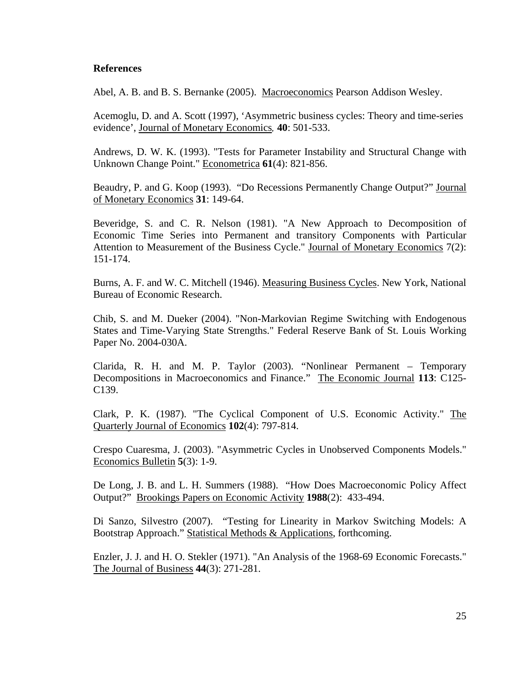# **References**

Abel, A. B. and B. S. Bernanke (2005). Macroeconomics Pearson Addison Wesley.

Acemoglu, D. and A. Scott (1997), 'Asymmetric business cycles: Theory and time-series evidence', Journal of Monetary Economics*,* **40**: 501-533.

Andrews, D. W. K. (1993). "Tests for Parameter Instability and Structural Change with Unknown Change Point." Econometrica **61**(4): 821-856.

Beaudry, P. and G. Koop (1993). "Do Recessions Permanently Change Output?" Journal of Monetary Economics **31**: 149-64.

Beveridge, S. and C. R. Nelson (1981). "A New Approach to Decomposition of Economic Time Series into Permanent and transitory Components with Particular Attention to Measurement of the Business Cycle." Journal of Monetary Economics 7(2): 151-174.

Burns, A. F. and W. C. Mitchell (1946). Measuring Business Cycles. New York, National Bureau of Economic Research.

Chib, S. and M. Dueker (2004). "Non-Markovian Regime Switching with Endogenous States and Time-Varying State Strengths." Federal Reserve Bank of St. Louis Working Paper No. 2004-030A.

Clarida, R. H. and M. P. Taylor (2003). "Nonlinear Permanent – Temporary Decompositions in Macroeconomics and Finance." The Economic Journal **113**: C125- C139.

Clark, P. K. (1987). "The Cyclical Component of U.S. Economic Activity." The Quarterly Journal of Economics **102**(4): 797-814.

Crespo Cuaresma, J. (2003). "Asymmetric Cycles in Unobserved Components Models." Economics Bulletin **5**(3): 1-9.

De Long, J. B. and L. H. Summers (1988). "How Does Macroeconomic Policy Affect Output?" Brookings Papers on Economic Activity **1988**(2): 433-494.

Di Sanzo, Silvestro (2007). "Testing for Linearity in Markov Switching Models: A Bootstrap Approach." Statistical Methods & Applications, forthcoming.

Enzler, J. J. and H. O. Stekler (1971). "An Analysis of the 1968-69 Economic Forecasts." The Journal of Business **44**(3): 271-281.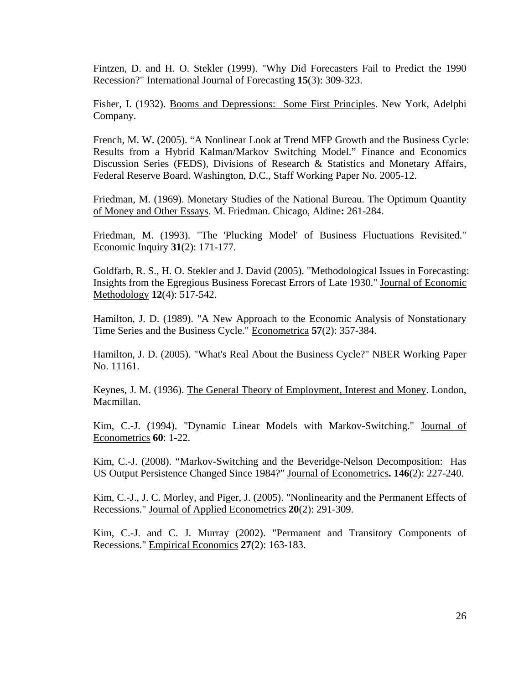Fintzen, D. and H. O. Stekler (1999). "Why Did Forecasters Fail to Predict the 1990 Recession?" International Journal of Forecasting **15**(3): 309-323.

Fisher, I. (1932). Booms and Depressions: Some First Principles. New York, Adelphi Company.

French, M. W. (2005). "A Nonlinear Look at Trend MFP Growth and the Business Cycle: Results from a Hybrid Kalman/Markov Switching Model." Finance and Economics Discussion Series (FEDS), Divisions of Research & Statistics and Monetary Affairs, Federal Reserve Board. Washington, D.C., Staff Working Paper No. 2005-12.

Friedman, M. (1969). Monetary Studies of the National Bureau. The Optimum Quantity of Money and Other Essays. M. Friedman. Chicago, Aldine**:** 261-284.

Friedman, M. (1993). "The 'Plucking Model' of Business Fluctuations Revisited." Economic Inquiry **31**(2): 171-177.

Goldfarb, R. S., H. O. Stekler and J. David (2005). "Methodological Issues in Forecasting: Insights from the Egregious Business Forecast Errors of Late 1930." Journal of Economic Methodology **12**(4): 517-542.

Hamilton, J. D. (1989). "A New Approach to the Economic Analysis of Nonstationary Time Series and the Business Cycle." Econometrica **57**(2): 357-384.

Hamilton, J. D. (2005). "What's Real About the Business Cycle?" NBER Working Paper No. 11161.

Keynes, J. M. (1936). The General Theory of Employment, Interest and Money. London, Macmillan.

Kim, C.-J. (1994). "Dynamic Linear Models with Markov-Switching." Journal of Econometrics **60**: 1-22.

Kim, C.-J. (2008). "Markov-Switching and the Beveridge-Nelson Decomposition: Has US Output Persistence Changed Since 1984?" Journal of Econometrics**. 146**(2): 227-240.

Kim, C.-J., J. C. Morley, and Piger, J. (2005). "Nonlinearity and the Permanent Effects of Recessions." Journal of Applied Econometrics **20**(2): 291-309.

Kim, C.-J. and C. J. Murray (2002). "Permanent and Transitory Components of Recessions." Empirical Economics **27**(2): 163-183.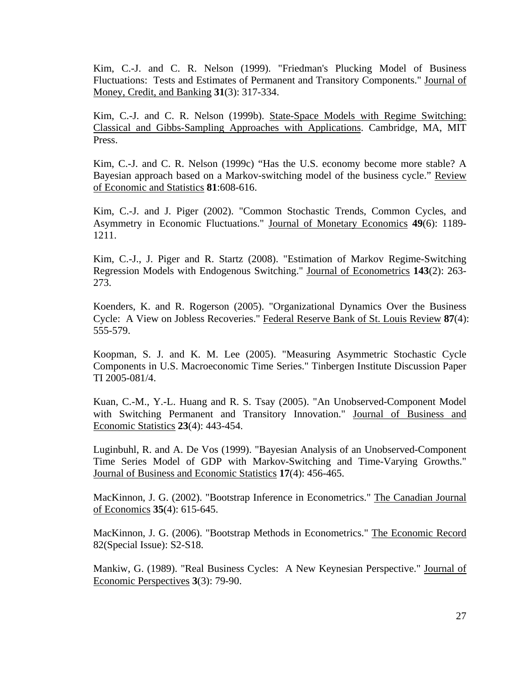Kim, C.-J. and C. R. Nelson (1999). "Friedman's Plucking Model of Business Fluctuations: Tests and Estimates of Permanent and Transitory Components." Journal of Money, Credit, and Banking **31**(3): 317-334.

Kim, C.-J. and C. R. Nelson (1999b). State-Space Models with Regime Switching: Classical and Gibbs-Sampling Approaches with Applications. Cambridge, MA, MIT Press.

Kim, C.-J. and C. R. Nelson (1999c) "Has the U.S. economy become more stable? A Bayesian approach based on a Markov-switching model of the business cycle." Review of Economic and Statistics **81**:608-616.

Kim, C.-J. and J. Piger (2002). "Common Stochastic Trends, Common Cycles, and Asymmetry in Economic Fluctuations." Journal of Monetary Economics **49**(6): 1189- 1211.

Kim, C.-J., J. Piger and R. Startz (2008). "Estimation of Markov Regime-Switching Regression Models with Endogenous Switching." Journal of Econometrics **143**(2): 263- 273.

Koenders, K. and R. Rogerson (2005). "Organizational Dynamics Over the Business Cycle: A View on Jobless Recoveries." Federal Reserve Bank of St. Louis Review **87**(4): 555-579.

Koopman, S. J. and K. M. Lee (2005). "Measuring Asymmetric Stochastic Cycle Components in U.S. Macroeconomic Time Series." Tinbergen Institute Discussion Paper TI 2005-081/4.

Kuan, C.-M., Y.-L. Huang and R. S. Tsay (2005). "An Unobserved-Component Model with Switching Permanent and Transitory Innovation." Journal of Business and Economic Statistics **23**(4): 443-454.

Luginbuhl, R. and A. De Vos (1999). "Bayesian Analysis of an Unobserved-Component Time Series Model of GDP with Markov-Switching and Time-Varying Growths." Journal of Business and Economic Statistics **17**(4): 456-465.

MacKinnon, J. G. (2002). "Bootstrap Inference in Econometrics." The Canadian Journal of Economics **35**(4): 615-645.

MacKinnon, J. G. (2006). "Bootstrap Methods in Econometrics." The Economic Record 82(Special Issue): S2-S18.

Mankiw, G. (1989). "Real Business Cycles: A New Keynesian Perspective." Journal of Economic Perspectives **3**(3): 79-90.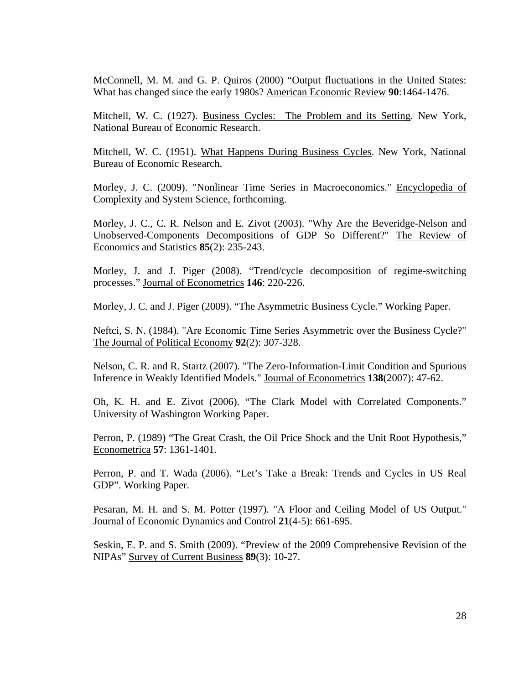McConnell, M. M. and G. P. Quiros (2000) "Output fluctuations in the United States: What has changed since the early 1980s? American Economic Review **90**:1464-1476.

Mitchell, W. C. (1927). Business Cycles: The Problem and its Setting. New York, National Bureau of Economic Research.

Mitchell, W. C. (1951). What Happens During Business Cycles. New York, National Bureau of Economic Research.

Morley, J. C. (2009). "Nonlinear Time Series in Macroeconomics." Encyclopedia of Complexity and System Science, forthcoming.

Morley, J. C., C. R. Nelson and E. Zivot (2003). "Why Are the Beveridge-Nelson and Unobserved-Components Decompositions of GDP So Different?" The Review of Economics and Statistics **85**(2): 235-243.

Morley, J. and J. Piger (2008). "Trend/cycle decomposition of regime-switching processes." Journal of Econometrics **146**: 220-226.

Morley, J. C. and J. Piger (2009). "The Asymmetric Business Cycle." Working Paper.

Neftci, S. N. (1984). "Are Economic Time Series Asymmetric over the Business Cycle?" The Journal of Political Economy **92**(2): 307-328.

Nelson, C. R. and R. Startz (2007). "The Zero-Information-Limit Condition and Spurious Inference in Weakly Identified Models." Journal of Econometrics **138**(2007): 47-62.

Oh, K. H. and E. Zivot (2006). "The Clark Model with Correlated Components." University of Washington Working Paper.

Perron, P. (1989) "The Great Crash, the Oil Price Shock and the Unit Root Hypothesis," Econometrica **57**: 1361-1401.

Perron, P. and T. Wada (2006). "Let's Take a Break: Trends and Cycles in US Real GDP". Working Paper.

Pesaran, M. H. and S. M. Potter (1997). "A Floor and Ceiling Model of US Output." Journal of Economic Dynamics and Control **21**(4-5): 661-695.

Seskin, E. P. and S. Smith (2009). "Preview of the 2009 Comprehensive Revision of the NIPAs" Survey of Current Business **89**(3): 10-27.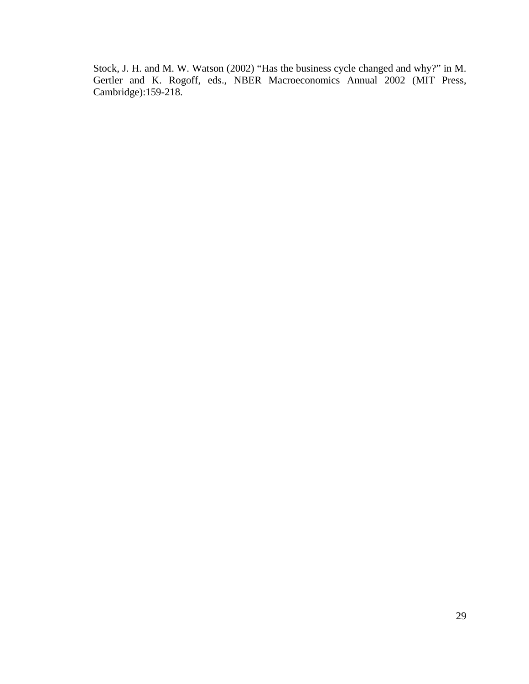Stock, J. H. and M. W. Watson (2002) "Has the business cycle changed and why?" in M. Gertler and K. Rogoff, eds., **NBER Macroeconomics Annual 2002** (MIT Press, Cambridge):159-218.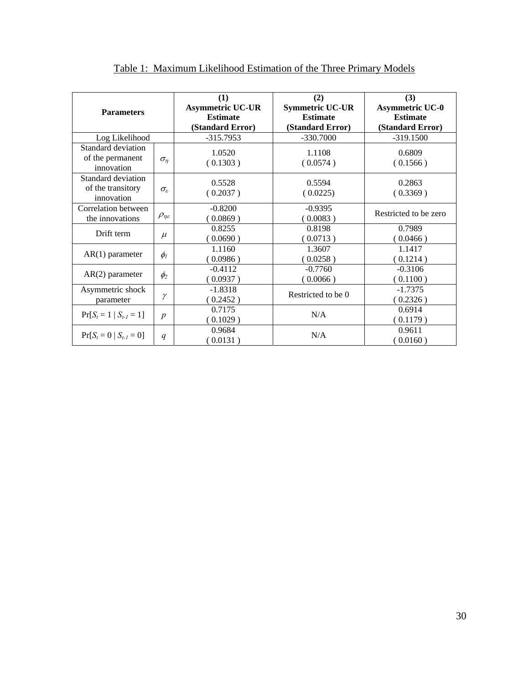| <b>Parameters</b>                                     |                          | (1)<br><b>Asymmetric UC-UR</b><br><b>Estimate</b><br>(Standard Error) | (2)<br><b>Symmetric UC-UR</b><br><b>Estimate</b><br>(Standard Error) | (3)<br><b>Asymmetric UC-0</b><br><b>Estimate</b><br>(Standard Error) |  |
|-------------------------------------------------------|--------------------------|-----------------------------------------------------------------------|----------------------------------------------------------------------|----------------------------------------------------------------------|--|
| Log Likelihood                                        |                          | $-315.7953$                                                           | $-330.7000$                                                          | $-319.1500$                                                          |  |
| Standard deviation<br>of the permanent<br>innovation  | $\sigma_{\eta}$          | 1.0520<br>1.1108<br>(0.1303)<br>(0.0574)                              |                                                                      | 0.6809<br>(0.1566)                                                   |  |
| Standard deviation<br>of the transitory<br>innovation | $\sigma_{\rm s}$         | 0.5528<br>(0.2037)                                                    | 0.5594<br>(0.0225)                                                   | 0.2863<br>(0.3369)                                                   |  |
| Correlation between<br>the innovations                | $\rho_{\eta\varepsilon}$ | $-0.8200$<br>(0.0869)                                                 | $-0.9395$<br>(0.0083)                                                | Restricted to be zero                                                |  |
| Drift term                                            | $\mu$                    | 0.8255<br>(0.0690)                                                    | 0.8198<br>(0.0713)                                                   | 0.7989<br>(0.0466)                                                   |  |
| $AR(1)$ parameter                                     | $\phi$                   | 1.1160<br>(0.0986)                                                    | 1.3607<br>(0.0258)                                                   | 1.1417<br>(0.1214)                                                   |  |
| $AR(2)$ parameter                                     | $\phi_2$                 | $-0.4112$<br>(0.0937)                                                 | $-0.7760$<br>(0.0066)                                                | $-0.3106$<br>(0.1100)                                                |  |
| Asymmetric shock<br>parameter                         | γ                        | $-1.8318$<br>(0.2452)                                                 | Restricted to be 0                                                   | $-1.7375$<br>(0.2326)                                                |  |
| $Pr[S_t = 1   S_{t-1} = 1]$                           | $\boldsymbol{p}$         | 0.7175<br>(0.1029)                                                    | N/A                                                                  | 0.6914<br>(0.1179)                                                   |  |
| $Pr[S_t = 0   S_{t-1} = 0]$                           | q                        | 0.9684<br>(0.0131)                                                    | N/A                                                                  | 0.9611<br>(0.0160)                                                   |  |

Table 1: Maximum Likelihood Estimation of the Three Primary Models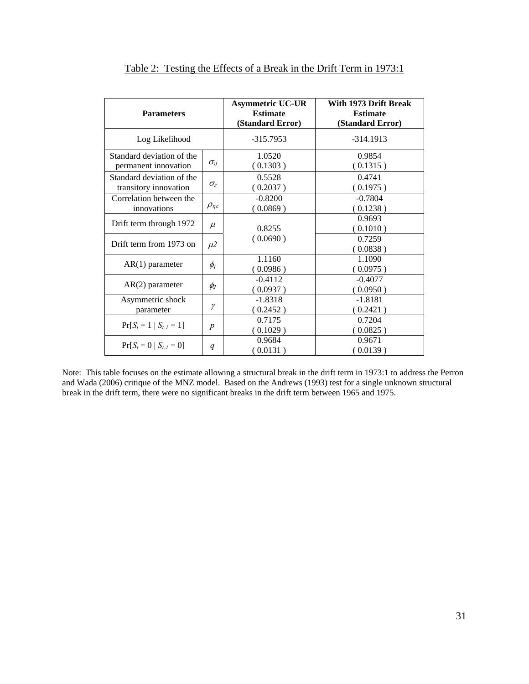| <b>Parameters</b>                                                    |                          | <b>Asymmetric UC-UR</b><br><b>Estimate</b><br>(Standard Error) | With 1973 Drift Break<br><b>Estimate</b><br>(Standard Error) |
|----------------------------------------------------------------------|--------------------------|----------------------------------------------------------------|--------------------------------------------------------------|
| Log Likelihood                                                       |                          | $-315.7953$                                                    | $-314.1913$                                                  |
| Standard deviation of the<br>$\sigma_{\eta}$<br>permanent innovation |                          | 1.0520<br>(0.1303)                                             | 0.9854<br>(0.1315)                                           |
| Standard deviation of the<br>transitory innovation                   | $\sigma_{\varepsilon}$   | 0.5528<br>(0.2037)                                             | 0.4741<br>(0.1975)                                           |
| Correlation between the<br>innovations                               | $\rho_{\eta\varepsilon}$ | $-0.8200$<br>(0.0869)                                          | $-0.7804$<br>(0.1238)                                        |
| Drift term through 1972                                              | $\mu$                    | 0.8255                                                         | 0.9693<br>(0.1010)                                           |
| Drift term from 1973 on                                              | $\mu$ 2                  | (0.0690)                                                       | 0.7259<br>(0.0838)                                           |
| $AR(1)$ parameter                                                    | $\phi$ <sub>l</sub>      | 1.1160<br>(0.0986)                                             | 1.1090<br>(0.0975)                                           |
| $AR(2)$ parameter                                                    |                          | $-0.4112$<br>(0.0937)                                          | $-0.4077$<br>(0.0950)                                        |
| Asymmetric shock<br>γ<br>parameter                                   |                          | $-1.8318$<br>(0.2452)                                          | $-1.8181$<br>(0.2421)                                        |
| $Pr[S_t = 1   S_{t-1} = 1]$<br>$\boldsymbol{p}$                      |                          | 0.7175<br>(0.1029)                                             | 0.7204<br>(0.0825)                                           |
| $Pr[S_t = 0   S_{t-1} = 0]$                                          | q                        | 0.9684<br>(0.0131)                                             | 0.9671<br>(0.0139)                                           |

Table 2: Testing the Effects of a Break in the Drift Term in 1973:1

Note: This table focuses on the estimate allowing a structural break in the drift term in 1973:1 to address the Perron and Wada (2006) critique of the MNZ model. Based on the Andrews (1993) test for a single unknown structural break in the drift term, there were no significant breaks in the drift term between 1965 and 1975.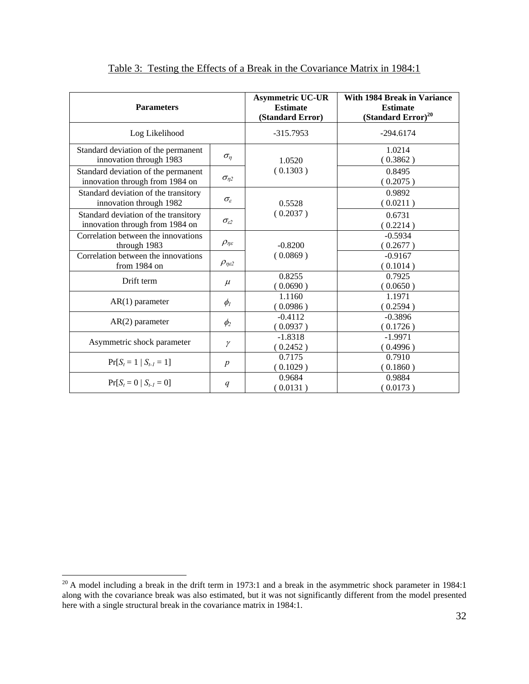| <b>Parameters</b>                                                       |                          | <b>Asymmetric UC-UR</b><br><b>Estimate</b><br>(Standard Error) | <b>With 1984 Break in Variance</b><br><b>Estimate</b><br>$(Standard Error)^{20}$ |
|-------------------------------------------------------------------------|--------------------------|----------------------------------------------------------------|----------------------------------------------------------------------------------|
| Log Likelihood                                                          |                          | $-315.7953$                                                    | $-294.6174$                                                                      |
| Standard deviation of the permanent<br>innovation through 1983          | $\sigma_n$               | 1.0520<br>(0.1303)                                             | 1.0214<br>(0.3862)                                                               |
| Standard deviation of the permanent<br>innovation through from 1984 on  | $\sigma_{n2}$            |                                                                | 0.8495<br>(0.2075)                                                               |
| Standard deviation of the transitory<br>innovation through 1982         | $\sigma_{\varepsilon}$   | 0.5528<br>(0.2037)                                             | 0.9892<br>(0.0211)                                                               |
| Standard deviation of the transitory<br>innovation through from 1984 on | $\sigma_{\varepsilon2}$  |                                                                | 0.6731<br>(0.2214)                                                               |
| Correlation between the innovations<br>through 1983                     | $\rho_{\eta\varepsilon}$ | $-0.8200$<br>(0.0869)                                          | $-0.5934$<br>(0.2677)                                                            |
| Correlation between the innovations<br>from 1984 on                     | $\rho_{\eta\epsilon2}$   |                                                                | $-0.9167$<br>(0.1014)                                                            |
| Drift term                                                              | $\mu$                    | 0.8255<br>(0.0690)                                             | 0.7925<br>(0.0650)                                                               |
| $AR(1)$ parameter                                                       | $\phi$ <sub>I</sub>      | 1.1160<br>(0.0986)                                             | 1.1971<br>(0.2594)                                                               |
| $AR(2)$ parameter                                                       | $\phi_2$                 | $-0.4112$<br>(0.0937)                                          | $-0.3896$<br>(0.1726)                                                            |
| Asymmetric shock parameter                                              | γ                        | $-1.8318$<br>(0.2452)                                          | $-1.9971$<br>(0.4996)                                                            |
| $Pr[S_t = 1   S_{t-1} = 1]$                                             | $\boldsymbol{p}$         | 0.7175<br>(0.1029)                                             | 0.7910<br>(0.1860)                                                               |
| $Pr[S_t = 0   S_{t-1} = 0]$                                             | q                        | 0.9684<br>(0.0131)                                             | 0.9884<br>(0.0173)                                                               |

Table 3: Testing the Effects of a Break in the Covariance Matrix in 1984:1

 $\overline{a}$ 

 $20$  A model including a break in the drift term in 1973:1 and a break in the asymmetric shock parameter in 1984:1 along with the covariance break was also estimated, but it was not significantly different from the model presented here with a single structural break in the covariance matrix in 1984:1.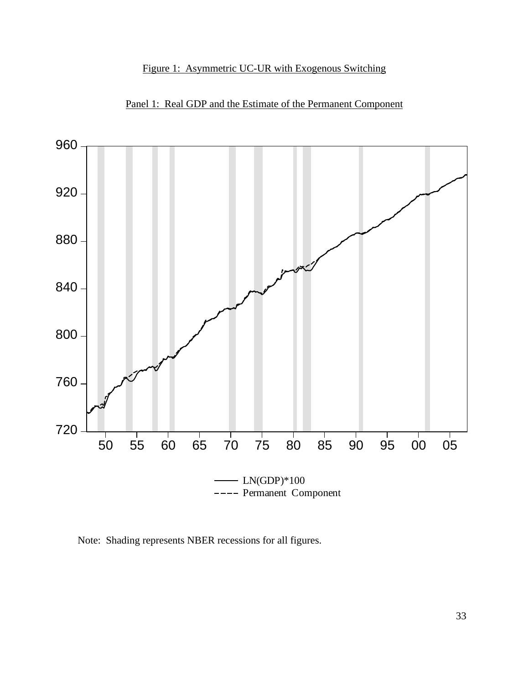# Figure 1: Asymmetric UC-UR with Exogenous Switching



Panel 1: Real GDP and the Estimate of the Permanent Component

Note: Shading represents NBER recessions for all figures.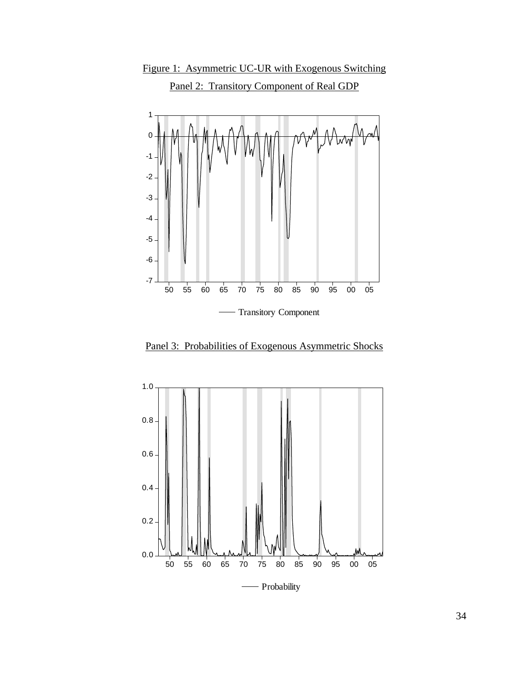

Figure 1: Asymmetric UC-UR with Exogenous Switching Panel 2: Transitory Component of Real GDP

Panel 3: Probabilities of Exogenous Asymmetric Shocks

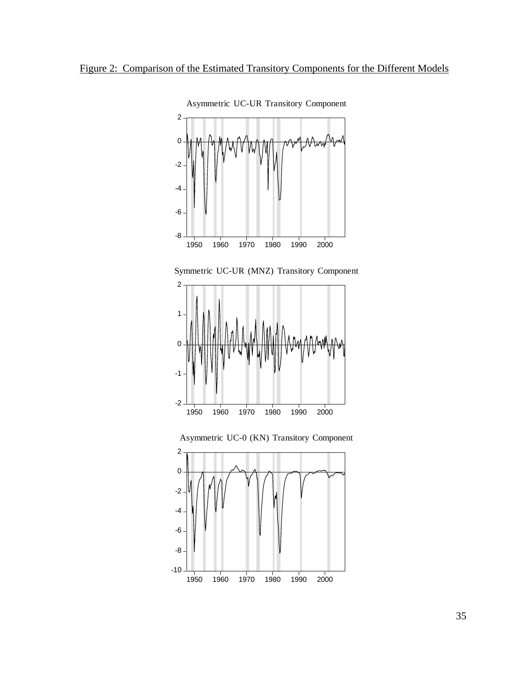

Asymmetric UC-UR Transitory Component